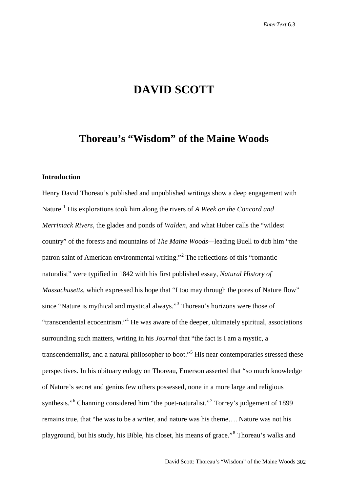# **DAVID SCOTT**

# **Thoreau's "Wisdom" of the Maine Woods**

## **Introduction**

Henry David Thoreau's published and unpublished writings show a deep engagement with Nature.[1](#page-19-0) His explorations took him along the rivers of *A Week on the Concord and Merrimack Rivers*, the glades and ponds of *Walden*, and what Huber calls the "wildest country" of the forests and mountains of *The Maine Woods—*leading Buell to dub him "the patron saint of American environmental writing."[2](#page-19-1) The reflections of this "romantic naturalist" were typified in 1842 with his first published essay, *Natural History of Massachusetts*, which expressed his hope that "I too may through the pores of Nature flow" since "Nature is mythical and mystical always."[3](#page-19-2) Thoreau's horizons were those of "transcendental ecocentrism."[4](#page-19-3) He was aware of the deeper, ultimately spiritual, associations surrounding such matters, writing in his *Journal* that "the fact is I am a mystic, a transcendentalist, and a natural philosopher to boot."<sup>[5](#page-19-4)</sup> His near contemporaries stressed these perspectives. In his obituary eulogy on Thoreau, Emerson asserted that "so much knowledge of Nature's secret and genius few others possessed, none in a more large and religious synthesis."<sup>[6](#page-19-5)</sup> Channing considered him "the poet-naturalist."<sup>[7](#page-19-6)</sup> Torrey's judgement of 1899 remains true, that "he was to be a writer, and nature was his theme…. Nature was not his playground, but his study, his Bible, his closet, his means of grace."[8](#page-19-7) Thoreau's walks and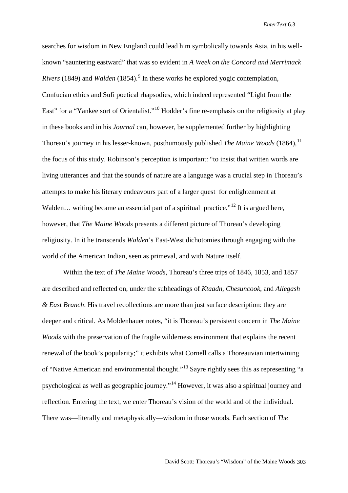searches for wisdom in New England could lead him symbolically towards Asia, in his wellknown "sauntering eastward" that was so evident in *A Week on the Concord and Merrimack Rivers* (184[9](#page-20-0)) and *Walden* (1854).<sup>9</sup> In these works he explored yogic contemplation, Confucian ethics and Sufi poetical rhapsodies, which indeed represented "Light from the East" for a "Yankee sort of Orientalist."<sup>[10](#page-20-1)</sup> Hodder's fine re-emphasis on the religiosity at play in these books and in his *Journal* can, however, be supplemented further by highlighting Thoreau's journey in his lesser-known, posthumously published *The Maine Woods* (1864).<sup>[11](#page-20-2)</sup> the focus of this study. Robinson's perception is important: "to insist that written words are living utterances and that the sounds of nature are a language was a crucial step in Thoreau's attempts to make his literary endeavours part of a larger quest for enlightenment at Walden... writing became an essential part of a spiritual practice."<sup>[12](#page-20-3)</sup> It is argued here, however, that *The Maine Woods* presents a different picture of Thoreau's developing religiosity. In it he transcends *Walden*'s East-West dichotomies through engaging with the world of the American Indian, seen as primeval, and with Nature itself.

Within the text of *The Maine Woods*, Thoreau's three trips of 1846, 1853, and 1857 are described and reflected on, under the subheadings of *Ktaadn*, *Chesuncook*, and *Allegash & East Branch*. His travel recollections are more than just surface description: they are deeper and critical. As Moldenhauer notes, "it is Thoreau's persistent concern in *The Maine Woods* with the preservation of the fragile wilderness environment that explains the recent renewal of the book's popularity;" it exhibits what Cornell calls a Thoreauvian intertwining of "Native American and environmental thought."[13](#page-20-4) Sayre rightly sees this as representing "a psychological as well as geographic journey."[14](#page-20-5) However, it was also a spiritual journey and reflection. Entering the text, we enter Thoreau's vision of the world and of the individual. There was—literally and metaphysically—wisdom in those woods. Each section of *The*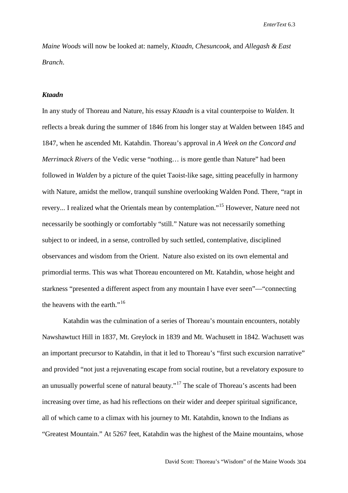*Maine Woods* will now be looked at: namely, *Ktaadn*, *Chesuncook*, and *Allegash & East Branch*.

#### *Ktaadn*

In any study of Thoreau and Nature, his essay *Ktaadn* is a vital counterpoise to *Walden*. It reflects a break during the summer of 1846 from his longer stay at Walden between 1845 and 1847, when he ascended Mt. Katahdin. Thoreau's approval in *A Week on the Concord and Merrimack Rivers* of the Vedic verse "nothing... is more gentle than Nature" had been followed in *Walden* by a picture of the quiet Taoist-like sage, sitting peacefully in harmony with Nature, amidst the mellow, tranquil sunshine overlooking Walden Pond. There, "rapt in revery... I realized what the Orientals mean by contemplation."[15](#page-21-0) However, Nature need not necessarily be soothingly or comfortably "still." Nature was not necessarily something subject to or indeed, in a sense, controlled by such settled, contemplative, disciplined observances and wisdom from the Orient. Nature also existed on its own elemental and primordial terms. This was what Thoreau encountered on Mt. Katahdin, whose height and starkness "presented a different aspect from any mountain I have ever seen"—"connecting the heavens with the earth."<sup>[16](#page-21-1)</sup>

Katahdin was the culmination of a series of Thoreau's mountain encounters, notably Nawshawtuct Hill in 1837, Mt. Greylock in 1839 and Mt. Wachusett in 1842. Wachusett was an important precursor to Katahdin, in that it led to Thoreau's "first such excursion narrative" and provided "not just a rejuvenating escape from social routine, but a revelatory exposure to an unusually powerful scene of natural beauty."<sup>[17](#page-21-2)</sup> The scale of Thoreau's ascents had been increasing over time, as had his reflections on their wider and deeper spiritual significance, all of which came to a climax with his journey to Mt. Katahdin, known to the Indians as "Greatest Mountain." At 5267 feet, Katahdin was the highest of the Maine mountains, whose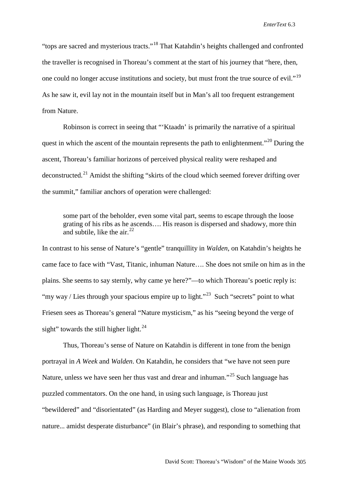"tops are sacred and mysterious tracts."[18](#page-21-3) That Katahdin's heights challenged and confronted the traveller is recognised in Thoreau's comment at the start of his journey that "here, then, one could no longer accuse institutions and society, but must front the true source of evil."<sup>[19](#page-21-4)</sup> As he saw it, evil lay not in the mountain itself but in Man's all too frequent estrangement from Nature.

Robinson is correct in seeing that "'Ktaadn' is primarily the narrative of a spiritual quest in which the ascent of the mountain represents the path to enlightenment."<sup>[20](#page-21-5)</sup> During the ascent, Thoreau's familiar horizons of perceived physical reality were reshaped and deconstructed.<sup>[21](#page-21-6)</sup> Amidst the shifting "skirts of the cloud which seemed forever drifting over the summit," familiar anchors of operation were challenged:

some part of the beholder, even some vital part, seems to escape through the loose grating of his ribs as he ascends…. His reason is dispersed and shadowy, more thin and subtile, like the air. $22$ 

In contrast to his sense of Nature's "gentle" tranquillity in *Walden*, on Katahdin's heights he came face to face with "Vast, Titanic, inhuman Nature…. She does not smile on him as in the plains. She seems to say sternly, why came ye here?"—to which Thoreau's poetic reply is: "my way / Lies through your spacious empire up to light."<sup>23</sup> Such "secrets" point to what Friesen sees as Thoreau's general "Nature mysticism," as his "seeing beyond the verge of sight" towards the still higher light. $^{24}$  $^{24}$  $^{24}$ 

Thus, Thoreau's sense of Nature on Katahdin is different in tone from the benign portrayal in *A Week* and *Walden*. On Katahdin, he considers that "we have not seen pure Nature, unless we have seen her thus vast and drear and inhuman."[25](#page-21-10) Such language has puzzled commentators. On the one hand, in using such language, is Thoreau just "bewildered" and "disorientated" (as Harding and Meyer suggest), close to "alienation from nature... amidst desperate disturbance" (in Blair's phrase), and responding to something that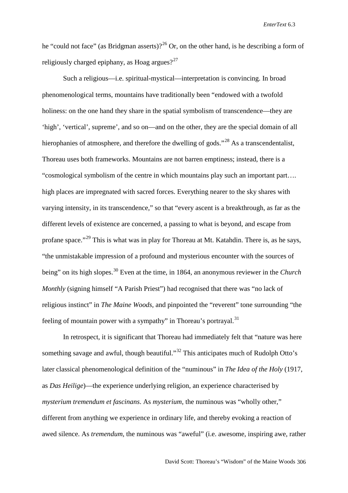he "could not face" (as Bridgman asserts)?<sup>[26](#page-21-11)</sup> Or, on the other hand, is he describing a form of religiously charged epiphany, as Hoag argues? $27$ 

Such a religious—i.e. spiritual-mystical—interpretation is convincing. In broad phenomenological terms, mountains have traditionally been "endowed with a twofold holiness: on the one hand they share in the spatial symbolism of transcendence—they are 'high', 'vertical', supreme', and so on—and on the other, they are the special domain of all hierophanies of atmosphere, and therefore the dwelling of gods."<sup>[28](#page-21-13)</sup> As a transcendentalist, Thoreau uses both frameworks. Mountains are not barren emptiness; instead, there is a "cosmological symbolism of the centre in which mountains play such an important part…. high places are impregnated with sacred forces. Everything nearer to the sky shares with varying intensity, in its transcendence," so that "every ascent is a breakthrough, as far as the different levels of existence are concerned, a passing to what is beyond, and escape from profane space."[29](#page-21-14) This is what was in play for Thoreau at Mt. Katahdin. There is, as he says, "the unmistakable impression of a profound and mysterious encounter with the sources of being" on its high slopes.[30](#page-21-15) Even at the time, in 1864, an anonymous reviewer in the *Church Monthly* (signing himself "A Parish Priest") had recognised that there was "no lack of religious instinct" in *The Maine Woods*, and pinpointed the "reverent" tone surrounding "the feeling of mountain power with a sympathy" in Thoreau's portrayal.<sup>[31](#page-21-16)</sup>

In retrospect, it is significant that Thoreau had immediately felt that "nature was here something savage and awful, though beautiful."<sup>[32](#page-21-17)</sup> This anticipates much of Rudolph Otto's later classical phenomenological definition of the "numinous" in *The Idea of the Holy* (1917, as *Das Heilige*)—the experience underlying religion, an experience characterised by *mysterium tremendum et fascinans*. As *mysterium*, the numinous was "wholly other," different from anything we experience in ordinary life, and thereby evoking a reaction of awed silence. As *tremendum*, the numinous was "aweful" (i.e. awesome, inspiring awe, rather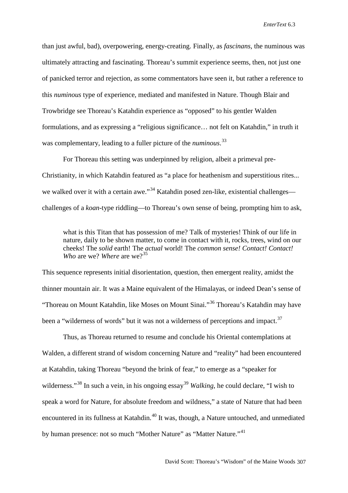than just awful, bad), overpowering, energy-creating. Finally, as *fascinans*, the numinous was ultimately attracting and fascinating. Thoreau's summit experience seems, then, not just one of panicked terror and rejection, as some commentators have seen it, but rather a reference to this *numinous* type of experience, mediated and manifested in Nature. Though Blair and Trowbridge see Thoreau's Katahdin experience as "opposed" to his gentler Walden formulations, and as expressing a "religious significance… not felt on Katahdin," in truth it was complementary, leading to a fuller picture of the *numinous*. [33](#page-21-18)

For Thoreau this setting was underpinned by religion, albeit a primeval pre-Christianity, in which Katahdin featured as "a place for heathenism and superstitious rites... we walked over it with a certain awe."<sup>[34](#page-21-19)</sup> Katahdin posed zen-like, existential challenges challenges of a *koan*-type riddling—to Thoreau's own sense of being, prompting him to ask,

what is this Titan that has possession of me? Talk of mysteries! Think of our life in nature, daily to be shown matter, to come in contact with it, rocks, trees, wind on our cheeks! The *solid* earth! The *actual* world! The *common sense! Contact! Contact! Who* are we? *Where* are we?<sup>[35](#page-21-20)</sup>

This sequence represents initial disorientation, question, then emergent reality, amidst the thinner mountain air. It was a Maine equivalent of the Himalayas, or indeed Dean's sense of "Thoreau on Mount Katahdin, like Moses on Mount Sinai."[36](#page-21-21) Thoreau's Katahdin may have been a "wilderness of words" but it was not a wilderness of perceptions and impact.<sup>[37](#page-21-22)</sup>

Thus, as Thoreau returned to resume and conclude his Oriental contemplations at Walden, a different strand of wisdom concerning Nature and "reality" had been encountered at Katahdin, taking Thoreau "beyond the brink of fear," to emerge as a "speaker for wilderness."<sup>[38](#page-21-23)</sup> In such a vein, in his ongoing essay<sup>[39](#page-21-24)</sup> *Walking*, he could declare, "I wish to speak a word for Nature, for absolute freedom and wildness," a state of Nature that had been encountered in its fullness at Katahdin.<sup>[40](#page-21-25)</sup> It was, though, a Nature untouched, and unmediated by human presence: not so much "Mother Nature" as "Matter Nature."<sup>[41](#page-21-26)</sup>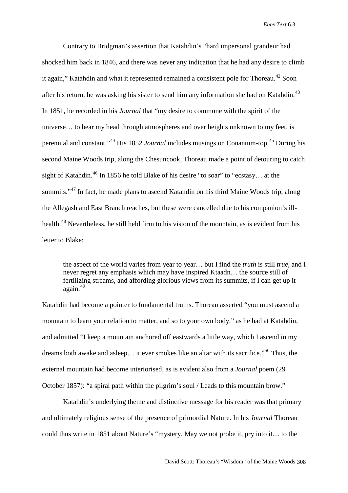Contrary to Bridgman's assertion that Katahdin's "hard impersonal grandeur had shocked him back in 1846, and there was never any indication that he had any desire to climb it again," Katahdin and what it represented remained a consistent pole for Thoreau.<sup>[42](#page-21-27)</sup> Soon after his return, he was asking his sister to send him any information she had on Katahdin. $^{43}$  $^{43}$  $^{43}$ In 1851, he recorded in his *Journal* that "my desire to commune with the spirit of the universe… to bear my head through atmospheres and over heights unknown to my feet, is perennial and constant."[44](#page-21-29) His 1852 *Journal* includes musings on Conantum-top.[45](#page-21-30) During his second Maine Woods trip, along the Chesuncook, Thoreau made a point of detouring to catch sight of Katahdin.<sup>[46](#page-21-31)</sup> In 1856 he told Blake of his desire "to soar" to "ecstasy... at the summits."<sup>[47](#page-21-32)</sup> In fact, he made plans to ascend Katahdin on his third Maine Woods trip, along the Allegash and East Branch reaches, but these were cancelled due to his companion's ill-health.<sup>[48](#page-21-33)</sup> Nevertheless, he still held firm to his vision of the mountain, as is evident from his letter to Blake:

the aspect of the world varies from year to year… but I find the *truth* is still *true*, and I never regret any emphasis which may have inspired Ktaadn… the source still of fertilizing streams, and affording glorious views from its summits, if I can get up it again.[49](#page-21-34)

Katahdin had become a pointer to fundamental truths. Thoreau asserted "you must ascend a mountain to learn your relation to matter, and so to your own body," as he had at Katahdin, and admitted "I keep a mountain anchored off eastwards a little way, which I ascend in my dreams both awake and asleep... it ever smokes like an altar with its sacrifice."<sup>[50](#page-21-35)</sup> Thus, the external mountain had become interiorised, as is evident also from a *Journal* poem (29 October 1857): "a spiral path within the pilgrim's soul / Leads to this mountain brow."

Katahdin's underlying theme and distinctive message for his reader was that primary and ultimately religious sense of the presence of primordial Nature. In his *Journal* Thoreau could thus write in 1851 about Nature's "mystery. May we not probe it, pry into it… to the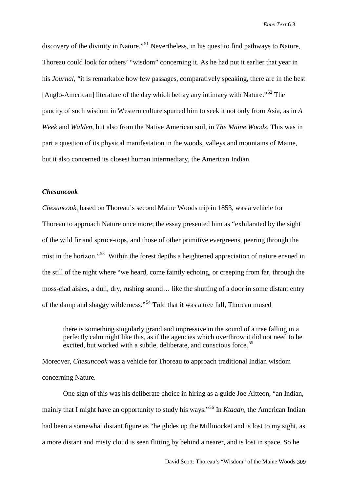discovery of the divinity in Nature."<sup>[51](#page-21-36)</sup> Nevertheless, in his quest to find pathways to Nature, Thoreau could look for others' "wisdom" concerning it. As he had put it earlier that year in his *Journal*, "it is remarkable how few passages, comparatively speaking, there are in the best [Anglo-American] literature of the day which betray any intimacy with Nature."<sup>[52](#page-21-37)</sup> The paucity of such wisdom in Western culture spurred him to seek it not only from Asia, as in *A Week* and *Walden*, but also from the Native American soil, in *The Maine Woods*. This was in part a question of its physical manifestation in the woods, valleys and mountains of Maine, but it also concerned its closest human intermediary, the American Indian.

### *Chesuncook*

*Chesuncook*, based on Thoreau's second Maine Woods trip in 1853, was a vehicle for Thoreau to approach Nature once more; the essay presented him as "exhilarated by the sight of the wild fir and spruce-tops, and those of other primitive evergreens, peering through the mist in the horizon."<sup>[53](#page-21-38)</sup> Within the forest depths a heightened appreciation of nature ensued in the still of the night where "we heard, come faintly echoing, or creeping from far, through the moss-clad aisles, a dull, dry, rushing sound… like the shutting of a door in some distant entry of the damp and shaggy wilderness."[54](#page-21-39) Told that it was a tree fall, Thoreau mused

there is something singularly grand and impressive in the sound of a tree falling in a perfectly calm night like this, as if the agencies which overthrow it did not need to be excited, but worked with a subtle, deliberate, and conscious force.<sup>[55](#page-21-40)</sup>

Moreover, *Chesuncook* was a vehicle for Thoreau to approach traditional Indian wisdom concerning Nature.

One sign of this was his deliberate choice in hiring as a guide Joe Aitteon, "an Indian, mainly that I might have an opportunity to study his ways."[56](#page-21-41) In *Ktaadn*, the American Indian had been a somewhat distant figure as "he glides up the Millinocket and is lost to my sight, as a more distant and misty cloud is seen flitting by behind a nearer, and is lost in space. So he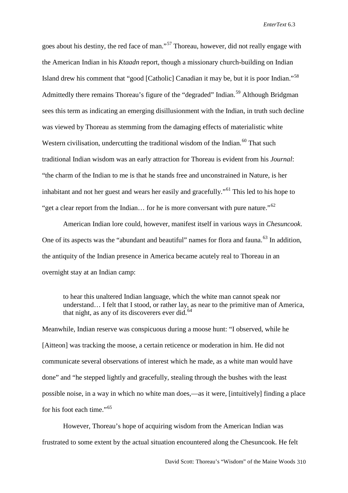goes about his destiny, the red face of man."<sup>[57](#page-21-42)</sup> Thoreau, however, did not really engage with the American Indian in his *Ktaadn* report, though a missionary church-building on Indian Island drew his comment that "good [Catholic] Canadian it may be, but it is poor Indian."[58](#page-21-43) Admittedly there remains Thoreau's figure of the "degraded" Indian.<sup>[59](#page-21-44)</sup> Although Bridgman sees this term as indicating an emerging disillusionment with the Indian, in truth such decline was viewed by Thoreau as stemming from the damaging effects of materialistic white Western civilisation, undercutting the traditional wisdom of the Indian.<sup>[60](#page-21-0)</sup> That such traditional Indian wisdom was an early attraction for Thoreau is evident from his *Journal*: "the charm of the Indian to me is that he stands free and unconstrained in Nature, is her inhabitant and not her guest and wears her easily and gracefully."[61](#page-21-45) This led to his hope to "get a clear report from the Indian... for he is more conversant with pure nature."<sup>[62](#page-21-1)</sup>

American Indian lore could, however, manifest itself in various ways in *Chesuncook*. One of its aspects was the "abundant and beautiful" names for flora and fauna.<sup>[63](#page-21-2)</sup> In addition. the antiquity of the Indian presence in America became acutely real to Thoreau in an overnight stay at an Indian camp:

to hear this unaltered Indian language, which the white man cannot speak nor understand… I felt that I stood, or rather lay, as near to the primitive man of America, that night, as any of its discoverers ever did. $64$ 

Meanwhile, Indian reserve was conspicuous during a moose hunt: "I observed, while he [Aitteon] was tracking the moose, a certain reticence or moderation in him. He did not communicate several observations of interest which he made, as a white man would have done" and "he stepped lightly and gracefully, stealing through the bushes with the least possible noise, in a way in which no white man does,—as it were, [intuitively] finding a place for his foot each time."[65](#page-21-4)

However, Thoreau's hope of acquiring wisdom from the American Indian was frustrated to some extent by the actual situation encountered along the Chesuncook. He felt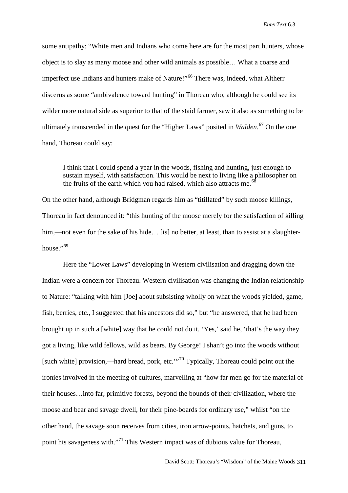some antipathy: "White men and Indians who come here are for the most part hunters, whose object is to slay as many moose and other wild animals as possible… What a coarse and imperfect use Indians and hunters make of Nature!"<sup>[66](#page-21-5)</sup> There was, indeed, what Altherr discerns as some "ambivalence toward hunting" in Thoreau who, although he could see its wilder more natural side as superior to that of the staid farmer, saw it also as something to be ultimately transcended in the quest for the "Higher Laws" posited in *Walden*. [67](#page-21-6) On the one hand, Thoreau could say:

I think that I could spend a year in the woods, fishing and hunting, just enough to sustain myself, with satisfaction. This would be next to living like a philosopher on the fruits of the earth which you had raised, which also attracts me.<sup>[68](#page-21-7)</sup>

On the other hand, although Bridgman regards him as "titillated" by such moose killings, Thoreau in fact denounced it: "this hunting of the moose merely for the satisfaction of killing him,—not even for the sake of his hide… [is] no better, at least, than to assist at a slaughter-house."<sup>[69](#page-21-8)</sup>

Here the "Lower Laws" developing in Western civilisation and dragging down the Indian were a concern for Thoreau. Western civilisation was changing the Indian relationship to Nature: "talking with him [Joe] about subsisting wholly on what the woods yielded, game, fish, berries, etc., I suggested that his ancestors did so," but "he answered, that he had been brought up in such a [white] way that he could not do it. 'Yes,' said he, 'that's the way they got a living, like wild fellows, wild as bears. By George! I shan't go into the woods without [such white] provision,—hard bread, pork, etc. $\cdot$ <sup>[70](#page-21-9)</sup> Typically, Thoreau could point out the ironies involved in the meeting of cultures, marvelling at "how far men go for the material of their houses…into far, primitive forests, beyond the bounds of their civilization, where the moose and bear and savage dwell, for their pine-boards for ordinary use," whilst "on the other hand, the savage soon receives from cities, iron arrow-points, hatchets, and guns, to point his savageness with."<sup>[71](#page-21-46)</sup> This Western impact was of dubious value for Thoreau,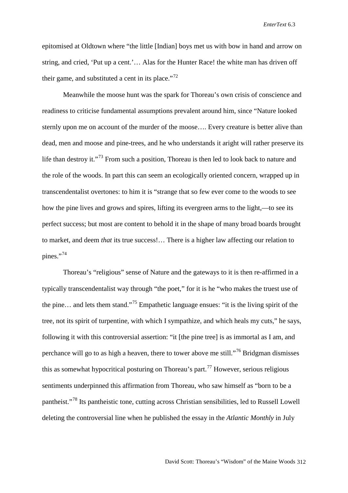epitomised at Oldtown where "the little [Indian] boys met us with bow in hand and arrow on string, and cried, 'Put up a cent.'… Alas for the Hunter Race! the white man has driven off their game, and substituted a cent in its place."<sup>[72](#page-21-47)</sup>

Meanwhile the moose hunt was the spark for Thoreau's own crisis of conscience and readiness to criticise fundamental assumptions prevalent around him, since "Nature looked sternly upon me on account of the murder of the moose…. Every creature is better alive than dead, men and moose and pine-trees, and he who understands it aright will rather preserve its life than destroy it."<sup>[73](#page-21-10)</sup> From such a position, Thoreau is then led to look back to nature and the role of the woods. In part this can seem an ecologically oriented concern, wrapped up in transcendentalist overtones: to him it is "strange that so few ever come to the woods to see how the pine lives and grows and spires, lifting its evergreen arms to the light,—to see its perfect success; but most are content to behold it in the shape of many broad boards brought to market, and deem *that* its true success!… There is a higher law affecting our relation to pines."<sup>[74](#page-21-11)</sup>

Thoreau's "religious" sense of Nature and the gateways to it is then re-affirmed in a typically transcendentalist way through "the poet," for it is he "who makes the truest use of the pine... and lets them stand."<sup>[75](#page-21-48)</sup> Empathetic language ensues: "it is the living spirit of the tree, not its spirit of turpentine, with which I sympathize, and which heals my cuts," he says, following it with this controversial assertion: "it [the pine tree] is as immortal as I am, and perchance will go to as high a heaven, there to tower above me still."<sup>[76](#page-21-49)</sup> Bridgman dismisses this as somewhat hypocritical posturing on Thoreau's part.<sup>[77](#page-21-12)</sup> However, serious religious sentiments underpinned this affirmation from Thoreau, who saw himself as "born to be a pantheist."[78](#page-21-50) Its pantheistic tone, cutting across Christian sensibilities, led to Russell Lowell deleting the controversial line when he published the essay in the *Atlantic Monthly* in July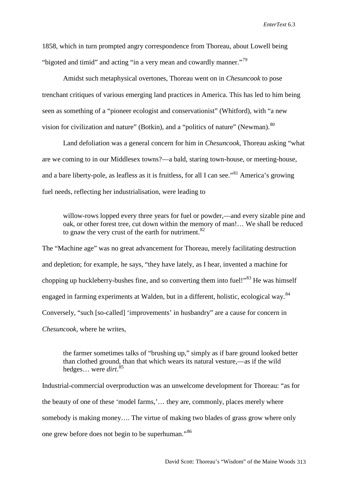1858, which in turn prompted angry correspondence from Thoreau, about Lowell being "bigoted and timid" and acting "in a very mean and cowardly manner."[79](#page-21-13)

Amidst such metaphysical overtones, Thoreau went on in *Chesuncook* to pose trenchant critiques of various emerging land practices in America. This has led to him being seen as something of a "pioneer ecologist and conservationist" (Whitford), with "a new vision for civilization and nature" (Botkin), and a "politics of nature" (Newman). <sup>[80](#page-21-14)</sup>

Land defoliation was a general concern for him in *Chesuncook*, Thoreau asking "what are we coming to in our Middlesex towns?—a bald, staring town-house, or meeting-house, and a bare liberty-pole, as leafless as it is fruitless, for all I can see."<sup>[81](#page-21-51)</sup> America's growing fuel needs, reflecting her industrialisation, were leading to

willow-rows lopped every three years for fuel or powder,—and every sizable pine and oak, or other forest tree, cut down within the memory of man!… We shall be reduced to gnaw the very crust of the earth for nutriment. $82$ 

The "Machine age" was no great advancement for Thoreau, merely facilitating destruction and depletion; for example, he says, "they have lately, as I hear, invented a machine for chopping up huckleberry-bushes fine, and so converting them into fuel!" $83$  He was himself engaged in farming experiments at Walden, but in a different, holistic, ecological way.<sup>[84](#page-21-19)</sup> Conversely, "such [so-called] 'improvements' in husbandry" are a cause for concern in *Chesuncook*, where he writes,

the farmer sometimes talks of "brushing up," simply as if bare ground looked better than clothed ground, than that which wears its natural vesture,—as if the wild hedges… were *dirt*. [85](#page-21-21)

Industrial-commercial overproduction was an unwelcome development for Thoreau: "as for the beauty of one of these 'model farms,'… they are, commonly, places merely where somebody is making money…. The virtue of making two blades of grass grow where only one grew before does not begin to be superhuman."[86](#page-21-22)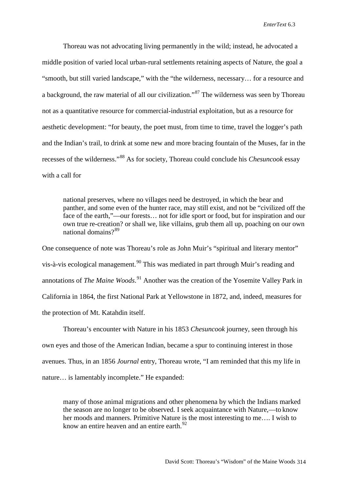Thoreau was not advocating living permanently in the wild; instead, he advocated a middle position of varied local urban-rural settlements retaining aspects of Nature, the goal a "smooth, but still varied landscape," with the "the wilderness, necessary… for a resource and a background, the raw material of all our civilization."[87](#page-21-52) The wilderness was seen by Thoreau not as a quantitative resource for commercial-industrial exploitation, but as a resource for aesthetic development: "for beauty, the poet must, from time to time, travel the logger's path and the Indian's trail, to drink at some new and more bracing fountain of the Muses, far in the recesses of the wilderness."[88](#page-21-53) As for society, Thoreau could conclude his *Chesuncook* essay with a call for

national preserves, where no villages need be destroyed, in which the bear and panther, and some even of the hunter race, may still exist, and not be "civilized off the face of the earth,"—our forests… not for idle sport or food, but for inspiration and our own true re-creation? or shall we, like villains, grub them all up, poaching on our own national domains?[89](#page-21-23)

One consequence of note was Thoreau's role as John Muir's "spiritual and literary mentor" vis-à-vis ecological management.<sup>[90](#page-21-54)</sup> This was mediated in part through Muir's reading and annotations of *The Maine Woods*. [91](#page-21-24) Another was the creation of the Yosemite Valley Park in California in 1864, the first National Park at Yellowstone in 1872, and, indeed, measures for the protection of Mt. Katahdin itself.

Thoreau's encounter with Nature in his 1853 *Chesuncook* journey, seen through his own eyes and those of the American Indian, became a spur to continuing interest in those avenues. Thus, in an 1856 *Journal* entry, Thoreau wrote, "I am reminded that this my life in nature… is lamentably incomplete." He expanded:

many of those animal migrations and other phenomena by which the Indians marked the season are no longer to be observed. I seek acquaintance with Nature,—to know her moods and manners. Primitive Nature is the most interesting to me…. I wish to know an entire heaven and an entire earth. $^{92}$  $^{92}$  $^{92}$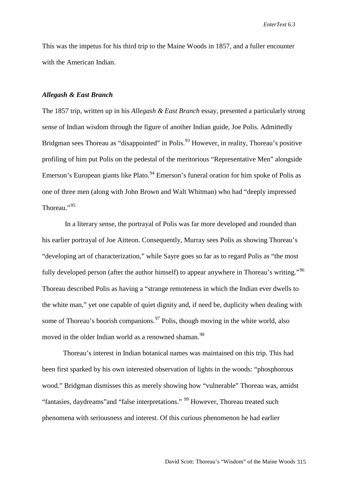This was the impetus for his third trip to the Maine Woods in 1857, and a fuller encounter with the American Indian.

### *Allegash & East Branch*

The 1857 trip, written up in his *Allegash & East Branch* essay, presented a particularly strong sense of Indian wisdom through the figure of another Indian guide, Joe Polis. Admittedly Bridgman sees Thoreau as "disappointed" in Polis.<sup>[93](#page-21-27)</sup> However, in reality, Thoreau's positive profiling of him put Polis on the pedestal of the meritorious "Representative Men" alongside Emerson's European giants like Plato.  $94$  Emerson's funeral oration for him spoke of Polis as one of three men (along with John Brown and Walt Whitman) who had "deeply impressed Thoreau."<sup>[95](#page-21-29)</sup>

In a literary sense, the portrayal of Polis was far more developed and rounded than his earlier portrayal of Joe Aitteon. Consequently, Murray sees Polis as showing Thoreau's "developing art of characterization," while Sayre goes so far as to regard Polis as "the most fully developed person (after the author himself) to appear anywhere in Thoreau's writing."<sup>[96](#page-21-33)</sup> Thoreau described Polis as having a "strange remoteness in which the Indian ever dwells to the white man," yet one capable of quiet dignity and, if need be, duplicity when dealing with some of Thoreau's boorish companions.<sup>[97](#page-21-36)</sup> Polis, though moving in the white world, also moved in the older Indian world as a renowned shaman.<sup>[98](#page-21-37)</sup>

Thoreau's interest in Indian botanical names was maintained on this trip. This had been first sparked by his own interested observation of lights in the woods: "phosphorous wood." Bridgman dismisses this as merely showing how "vulnerable" Thoreau was, amidst "fantasies, daydreams"and "false interpretations." [99](#page-21-38) However, Thoreau treated such phenomena with seriousness and interest. Of this curious phenomenon he had earlier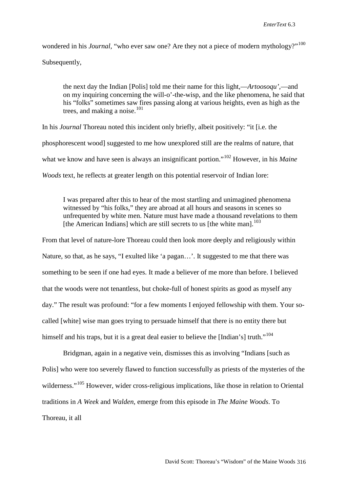wondered in his *Journal*, "who ever saw one? Are they not a piece of modern mythology?"<sup>[100](#page-21-39)</sup> Subsequently,

the next day the Indian [Polis] told me their name for this light,—*Artoosoqu'*,—and on my inquiring concerning the will-o'-the-wisp, and the like phenomena, he said that his "folks" sometimes saw fires passing along at various heights, even as high as the trees, and making a noise.<sup>[101](#page-21-40)</sup>

In his *Journal* Thoreau noted this incident only briefly, albeit positively: "it [i.e. the phosphorescent wood] suggested to me how unexplored still are the realms of nature, that what we know and have seen is always an insignificant portion.<sup>"[102](#page-21-41)</sup> However, in his *Maine Woods* text, he reflects at greater length on this potential reservoir of Indian lore:

I was prepared after this to hear of the most startling and unimagined phenomena witnessed by "his folks," they are abroad at all hours and seasons in scenes so unfrequented by white men. Nature must have made a thousand revelations to them [the American Indians] which are still secrets to us [the white man].<sup>[103](#page-21-42)</sup>

From that level of nature-lore Thoreau could then look more deeply and religiously within Nature, so that, as he says, "I exulted like 'a pagan…'. It suggested to me that there was something to be seen if one had eyes. It made a believer of me more than before. I believed that the woods were not tenantless, but choke-full of honest spirits as good as myself any day." The result was profound: "for a few moments I enjoyed fellowship with them. Your socalled [white] wise man goes trying to persuade himself that there is no entity there but himself and his traps, but it is a great deal easier to believe the [Indian's] truth."<sup>[104](#page-21-43)</sup>

Bridgman, again in a negative vein, dismisses this as involving "Indians [such as Polis] who were too severely flawed to function successfully as priests of the mysteries of the wilderness."<sup>[105](#page-21-44)</sup> However, wider cross-religious implications, like those in relation to Oriental traditions in *A Week* and *Walden*, emerge from this episode in *The Maine Woods*. To Thoreau, it all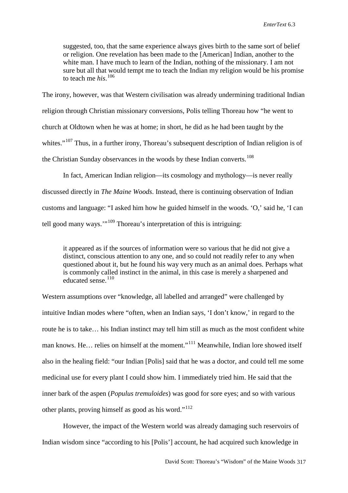suggested, too, that the same experience always gives birth to the same sort of belief or religion. One revelation has been made to the [American] Indian, another to the white man. I have much to learn of the Indian, nothing of the missionary. I am not sure but all that would tempt me to teach the Indian my religion would be his promise to teach me *his*. [106](#page-21-0)

The irony, however, was that Western civilisation was already undermining traditional Indian religion through Christian missionary conversions, Polis telling Thoreau how "he went to church at Oldtown when he was at home; in short, he did as he had been taught by the whites."<sup>[107](#page-21-45)</sup> Thus, in a further irony, Thoreau's subsequent description of Indian religion is of the Christian Sunday observances in the woods by these Indian converts.<sup>[108](#page-21-1)</sup>

In fact, American Indian religion—its cosmology and mythology—is never really discussed directly in *The Maine Woods*. Instead, there is continuing observation of Indian customs and language: "I asked him how he guided himself in the woods. 'O,' said he, 'I can tell good many ways."<sup>[109](#page-21-2)</sup> Thoreau's interpretation of this is intriguing:

it appeared as if the sources of information were so various that he did not give a distinct, conscious attention to any one, and so could not readily refer to any when questioned about it, but he found his way very much as an animal does. Perhaps what is commonly called instinct in the animal, in this case is merely a sharpened and educated sense.<sup>[110](#page-21-3)</sup>

Western assumptions over "knowledge, all labelled and arranged" were challenged by intuitive Indian modes where "often, when an Indian says, 'I don't know,' in regard to the route he is to take… his Indian instinct may tell him still as much as the most confident white man knows. He… relies on himself at the moment."<sup>[111](#page-21-4)</sup> Meanwhile, Indian lore showed itself also in the healing field: "our Indian [Polis] said that he was a doctor, and could tell me some medicinal use for every plant I could show him. I immediately tried him. He said that the inner bark of the aspen (*Populus tremuloides*) was good for sore eyes; and so with various other plants, proving himself as good as his word."<sup>[112](#page-21-5)</sup>

However, the impact of the Western world was already damaging such reservoirs of Indian wisdom since "according to his [Polis'] account, he had acquired such knowledge in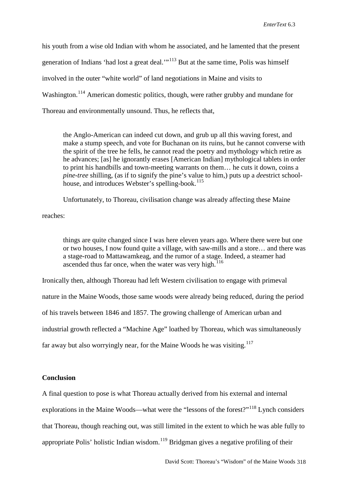his youth from a wise old Indian with whom he associated, and he lamented that the present generation of Indians 'had lost a great deal.'"<sup>[113](#page-21-6)</sup> But at the same time, Polis was himself involved in the outer "white world" of land negotiations in Maine and visits to Washington.<sup>[114](#page-21-55)</sup> American domestic politics, though, were rather grubby and mundane for Thoreau and environmentally unsound. Thus, he reflects that,

the Anglo-American can indeed cut down, and grub up all this waving forest, and make a stump speech, and vote for Buchanan on its ruins, but he cannot converse with the spirit of the tree he fells, he cannot read the poetry and mythology which retire as he advances; [as] he ignorantly erases [American Indian] mythological tablets in order to print his handbills and town-meeting warrants on them… he cuts it down, coins a *pine-tree* shilling, (as if to signify the pine's value to him,) puts up a *dee*strict school-house, and introduces Webster's spelling-book.<sup>[115](#page-21-7)</sup>

Unfortunately, to Thoreau, civilisation change was already affecting these Maine

reaches:

things are quite changed since I was here eleven years ago. Where there were but one or two houses, I now found quite a village, with saw-mills and a store… and there was a stage-road to Mattawamkeag, and the rumor of a stage. Indeed, a steamer had ascended thus far once, when the water was very high. $116$ 

Ironically then, although Thoreau had left Western civilisation to engage with primeval nature in the Maine Woods, those same woods were already being reduced, during the period of his travels between 1846 and 1857. The growing challenge of American urban and industrial growth reflected a "Machine Age" loathed by Thoreau, which was simultaneously far away but also worryingly near, for the Maine Woods he was visiting.<sup>[117](#page-21-46)</sup>

## **Conclusion**

A final question to pose is what Thoreau actually derived from his external and internal

explorations in the Maine Woods—what were the "lessons of the forest?"<sup>[118](#page-21-47)</sup> Lynch considers

that Thoreau, though reaching out, was still limited in the extent to which he was able fully to

appropriate Polis' holistic Indian wisdom.<sup>[119](#page-21-10)</sup> Bridgman gives a negative profiling of their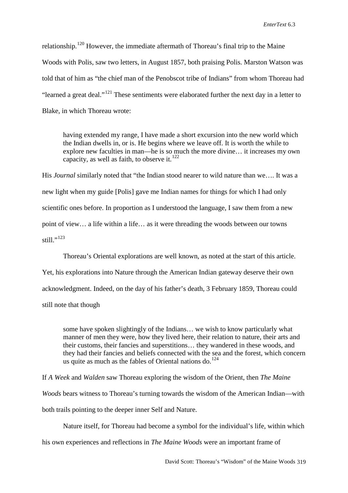relationship.<sup>[120](#page-21-48)</sup> However, the immediate aftermath of Thoreau's final trip to the Maine Woods with Polis, saw two letters, in August 1857, both praising Polis. Marston Watson was told that of him as "the chief man of the Penobscot tribe of Indians" from whom Thoreau had "learned a great deal."[121](#page-21-49) These sentiments were elaborated further the next day in a letter to Blake, in which Thoreau wrote:

having extended my range, I have made a short excursion into the new world which the Indian dwells in, or is. He begins where we leave off. It is worth the while to explore new faculties in man—he is so much the more divine… it increases my own capacity, as well as faith, to observe it. $122$ 

His *Journal* similarly noted that "the Indian stood nearer to wild nature than we…. It was a new light when my guide [Polis] gave me Indian names for things for which I had only scientific ones before. In proportion as I understood the language, I saw them from a new point of view… a life within a life… as it were threading the woods between our towns still." $^{123}$  $^{123}$  $^{123}$ 

Thoreau's Oriental explorations are well known, as noted at the start of this article. Yet, his explorations into Nature through the American Indian gateway deserve their own acknowledgment. Indeed, on the day of his father's death, 3 February 1859, Thoreau could still note that though

some have spoken slightingly of the Indians… we wish to know particularly what manner of men they were, how they lived here, their relation to nature, their arts and their customs, their fancies and superstitions… they wandered in these woods, and they had their fancies and beliefs connected with the sea and the forest, which concern us quite as much as the fables of Oriental nations do.<sup>[124](#page-21-13)</sup>

If *A Week* and *Walden* saw Thoreau exploring the wisdom of the Orient, then *The Maine Woods* bears witness to Thoreau's turning towards the wisdom of the American Indian—with both trails pointing to the deeper inner Self and Nature.

Nature itself, for Thoreau had become a symbol for the individual's life, within which

his own experiences and reflections in *The Maine Woods* were an important frame of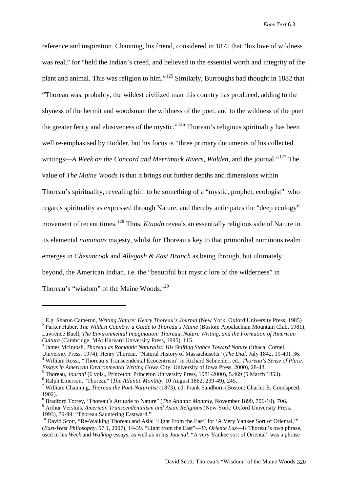reference and inspiration. Channing, his friend, considered in 1875 that "his love of wildness was real," for "held the Indian's creed, and believed in the essential worth and integrity of the plant and animal. This was religion to him."[125](#page-21-14) Similarly, Burroughs had thought in 1882 that "Thoreau was, probably, the wildest civilized man this country has produced, adding to the shyness of the hermit and woodsman the wildness of the poet, and to the wildness of the poet the greater ferity and elusiveness of the mystic."<sup>[126](#page-21-15)</sup> Thoreau's religious spirituality has been well re-emphasised by Hodder, but his focus is "three primary documents of his collected writings—*A Week on the Concord and Merrimack Rivers*, *Walden*, and the journal."[127](#page-21-16) The value of *The Maine Woods* is that it brings out further depths and dimensions within Thoreau's spirituality, revealing him to be something of a "mystic, prophet, ecologist" who regards spirituality as expressed through Nature, and thereby anticipates the "deep ecology" movement of recent times.[128](#page-21-56) Thus, *Ktaadn* reveals an essentially religious side of Nature in its elemental *numinous* majesty, whilst for Thoreau a key to that primordial numinous realm emerges in *Chesuncook* and *Allegash & East Branch* as being through, but ultimately beyond, the American Indian, i.e. the "beautiful but mystic lore of the wilderness" in Thoreau's "wisdom" of the Maine Woods.<sup>[129](#page-21-17)</sup>

-

<sup>&</sup>lt;sup>1</sup> E.g. Sharon Cameron, *Writing Nature: Henry Thoreau's Journal* (New York: Oxford University Press, 1985)<br><sup>2</sup> Parker Huber, *The Wildest Country: a Guide to Thoreau's Maine* (Boston: Appalachian Mountain Club, 1981); Lawrence Buell, *The Environmental Imagination: Thoreau, Nature Writing, and the Formation of American Culture* (Cambridge, MA: Harvard University Press, 1995), 115.<br><sup>3</sup> James McIntosh, *Thoreau as Romantic Naturalist: His Shifting Stance Toward Nature* (Ithaca: Cornell

University Press, 1974); Henry Thoreau, "Natural History of Massachusetts" (*The Dial*, July 1842, 19-40), 36.<br><sup>4</sup> William Rossi, "Thoreau's Transcendental Ecocentrism" in Richard Schneider, ed., *Thoreau's Sense of Place:* 

<sup>&</sup>lt;sup>5</sup> Thoreau, *Journal* (6 vols., Princeton: Princeton University Press, 1981-2000), 5.469 (5 March 1853).<br><sup>6</sup> Ralph Emerson, "Thoreau" (*The Atlantic Monthly*, 10 August 1862, 239-49), 245.<br><sup>7</sup> William Channing, *Thoreau* 

<sup>1902).&</sup>lt;br><sup>8</sup> Bradford Torrev. 'Thoreau's Attitude to Nature'' (*The Atlantic Monthly*, November 1899, 706-10), 706.

<sup>&</sup>lt;sup>9</sup> Arthur Versluis, *American Transcendentalism and Asian Religions* (New York: Oxford University Press, 1993), 79-99: "Thoreau Sauntering Eastward."

 $10$  David Scott, "Re-Walking Thoreau and Asia: 'Light From the East' for 'A Very Yankee Sort of Oriental,'" (*East-West Philosophy,* 57.1, 2007), 14-39. "Light from the East"—*Ex Oriente Lux*—is Thoreau's own phrase, used in his *Week* and *Walking* essays, as well as in his *Journal*. "A very Yankee sort of Oriental" was a phrase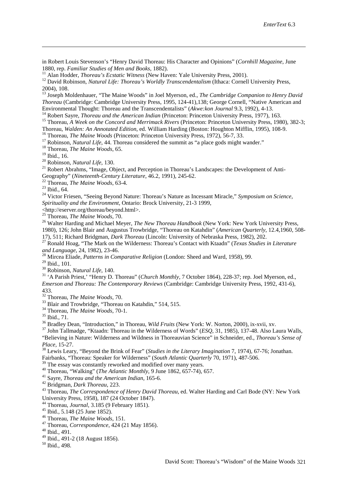in Robert Louis Stevenson's "Henry David Thoreau: His Character and Opinions" (*Cornhill Magazine*, June

<sup>11</sup> Alan Hodder, *Thoreau's Ecstatic Witness* (New Haven: Yale University Press, 2001).<br><sup>12</sup> David Robinson, *Natural Life: Thoreau's Worldly Transcendentalism* (Ithaca: Cornell University Press, 2004), 108.

<sup>13</sup> Joseph Moldenhauer, "The Maine Woods" in Joel Myerson, ed., *The Cambridge Companion to Henry David Thoreau* (Cambridge: Cambridge University Press, 1995, 124-41), 138; George Cornell, "Native American and Environmental Thought: Thoreau and the Transcendentalists" (Akwe: kon Journal 9.3, 1992), 4-13.

<sup>14</sup> Robert Sayre, *Thoreau and the American Indian* (Princeton: Princeton University Press, 1977), 163.<br><sup>15</sup> Thoreau, *A Week on the Concord and Merrimack Rivers* (Princeton: Princeton University Press, 1980), 382-3;<br>Tho

<sup>16</sup> Thoreau, *The Maine Woods* (Princeton: Princeton University Press, 1972), 56-7, 33.<br><sup>17</sup> Robinson, *Natural Life*, 44. Thoreau considered the summit as "a place gods might wander."<br><sup>18</sup> Thoreau, *The Maine Woods*, 65

-

<sup>20</sup> Robinson, *Natural Life*, 130.<br><sup>21</sup> Robert Abrahms, "Image, Object, and Perception in Thoreau's Landscapes: the Development of Anti-Geography" (Nineteenth-Century Literature, 46.2, 1991), 245-62.<br>
<sup>22</sup> Thoreau, *The Maine Woods*, 63-4.<br>
<sup>23</sup> Ibid., 64.<br>
<sup>24</sup> Victor Friesen, "Seeing Beyond Nature: Thoreau's Nature as Incessant Miracle," Symposium on Sci

*Spirituality and the Environment*, Ontario: Brock University, 21-3 1999,

>http://eserver.org/thoreau/beyond.html>.<br><sup>25</sup> Thoreau, *The Maine Woods*, 70.

<sup>26</sup> Walter Harding and Michael Meyer, *The New Thoreau Handbook* (New York: New York University Press, 1980), 126; John Blair and Augustus Trowbridge, "Thoreau on Katahdin" (*American Quarterly*, 12.4,1960, 508-

<sub>27</sub>, 1911; Dark Thoreau, *Dark Thoreau* (Lincoln: University of Nebraska Press, 1982), 202.<br><sup>27</sup> Ronald Hoag, "The Mark on the Wilderness: Thoreau's Contact with Ktaadn" (*Texas Studies in Literature and Language*, 24, 19

<sup>28</sup> Mircea Eliade, *Patterns in Comparative Religion* (London: Sheed and Ward, 1958), 99.<br><sup>29</sup> Ibid., 101.

<sup>30</sup> Robinson, *Natural Life*, 140.<br><sup>31</sup> 'A Parish Priest,' "Henry D. Thoreau" (*Church Monthly*, 7 October 1864), 228-37; rep. Joel Myerson, ed., *Emerson and Thoreau: The Contemporary Reviews* (Cambridge: Cambridge University Press, 1992, 431-6), 433.<br><sup>32</sup> Thoreau, *The Maine Woods*, 70.

<span id="page-19-0"></span>

<span id="page-19-1"></span>

<sup>33</sup> Blair and Trowbridge, "Thoreau on Katahdin," 514, 515.<br><sup>34</sup> Thoreau, *The Maine Woods*, 70-1.<br><sup>35</sup> Ibid., 71.<br><sup>36</sup> Bradley Dean, "Introduction," in Thoreau, *Wild Fruits* (New York: W. Norton, 2000), ix-xvii, xv.<br><sup>37</sup> "Believing in Nature: Wilderness and Wildness in Thoreauvian Science" in Schneider, ed., *Thoreau's Sense of Place,* 15-27.<br><sup>38</sup> Lewis Leary, "Beyond the Brink of Fear" (*Studies in the Literary Imagination* 7, 1974), 67-76; Jonathan.

<span id="page-19-2"></span>Fairbanks, "Thoreau: Speaker for Wilderness" (*South Atlantic Quarterly* 70, 1971), 487-506.<br><sup>39</sup> The essay was constantly reworked and modified over many years.

<span id="page-19-5"></span>

<span id="page-19-6"></span>

<span id="page-19-4"></span><span id="page-19-3"></span><sup>40</sup> Thoreau, "Walking" (*The Atlantic Monthly*, 9 June 1862, 657-74), 657.<br><sup>41</sup> Sayre, *Thoreau and the American Indian*, 165-6.<br><sup>42</sup> Bridgman, *Dark Thoreau*, 223.<br><sup>43</sup> Thoreau, *The Correspondence of Henry David Thorea* University Press, 1958), 187 (24 October 1847).

<span id="page-19-7"></span><sup>44</sup> Thoreau, *Journal*, 3.185 (9 February 1851).<br><sup>45</sup> Ibid., 5.148 (25 June 1852).<br><sup>46</sup> Thoreau, *The Maine Woods*, 151.<br><sup>47</sup> Thoreau, *Correspondence*, 424 (21 May 1856).<br><sup>48</sup> Ibid., 491.

 $^{49}$  Ibid., 491-2 (18 August 1856).<br><sup>50</sup> Ibid., 498.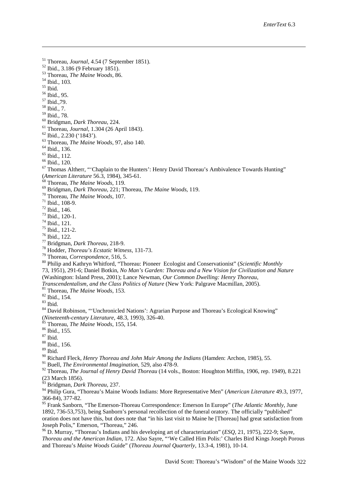<sup>51</sup> Thoreau, *Journal*, 4.54 (7 September 1851).<br><sup>52</sup> Ibid., 3.186 (9 February 1851).<br><sup>53</sup> Thoreau, *The Maine Woods*, 86.<br><sup>54</sup> Ibid., 103.<br><sup>55</sup> Ibid., 103.<br><sup>55</sup> Ibid., 95.<br><sup>58</sup> Ibid., 7.<br><sup>58</sup> Ibid., 7.<br><sup>59</sup> Ibid., 78.

- 
- <span id="page-20-2"></span>
- <span id="page-20-3"></span>
- 

-

- <span id="page-20-4"></span>
- 
- 
- 
- 
- 
- 
- 
- 
- 
- 

<span id="page-20-5"></span><sup>60</sup> Bridgman, *Dark Thoreau*, 224.<br>
<sup>61</sup> Thoreau, *Journal*, 1.304 (26 April 1843).<br>
<sup>62</sup> Ibid., 2.230 ('1843').<br>
<sup>63</sup> Thoreau, *The Maine Woods*, 97, also 140.<br>
<sup>64</sup> Ibid., 112.<br>
<sup>66</sup> Ibid., 120.<br>
<sup>67</sup> Thomas Altherr, " (American Literature 56.3, 1984), 345-61.<br>
<sup>68</sup> Thoreau, *The Maine Woods*, 119.<br>
<sup>69</sup> Bridgman, *Dark Thoreau*, 221; Thoreau, *The Maine Woods*, 119.<br>
<sup>70</sup> Thoreau, *The Maine Woods*, 107.<br>
<sup>71</sup> Ibid., 108-9.<br>
<sup>72</sup> Ibid.,

- 
- 
- 
- 
- 
- 
- 
- 
- 
- 
- 
- 

73, 1951), 291-6; Daniel Botkin, *No Man's Garden: Thoreau and a New Vision for Civilization and Nature*

(Washington: Island Press, 2001); Lance Newman, *Our Common Dwelling: Henry Thoreau,* 

<sup>81</sup> Thoreau, *The Maine Woods*, 153.<br><sup>82</sup> Ibid., 154.<br><sup>83</sup> Ibid.<br><sup>84</sup> David Robinson, "Unchronicled Nations': Agrarian Purpose and Thoreau's Ecological Knowing" (*Nineteenth-century Literature*, 48.3, 1993), 326-40.<br><sup>85</sup> Thoreau, *The Maine Woods*, 155, 154.<br><sup>86</sup> Ibid., 155.<br><sup>87</sup> Ibid. 88 Ibid., 156. 89 Ibid.

- 
- <sup>90</sup> Richard Fleck, *Henry Thoreau and John Muir Among the Indians* (Hamden: Archon, 1985), 55.

<sup>91</sup> Buell, *The Environmental Imagination*, 529, also 478-9.

<sup>92</sup> Thoreau, *The Journal of Henry David Thoreau* (14 vols., Boston: Houghton Mifflin, 1906, rep. 1949), 8.221 (23 March 1856).

<sup>93</sup> Bridgman, *Dark Thoreau*, 237.

<sup>94</sup> Philip Gura, "Thoreau's Maine Woods Indians: More Representative Men" (*American Literature* 49.3, 1977, 366-84), 377-82.

<span id="page-20-0"></span><sup>95</sup> Frank Sanborn, "The Emerson-Thoreau Correspondence: Emerson In Europe" (*The Atlantic Monthly*, June 1892, 736-53,753), being Sanborn's personal recollection of the funeral oratory. The officially "published" oration does not have this, but does note that "in his last visit to Maine he [Thoreau] had great satisfaction from Joseph Polis," Emerson, "Thoreau," 246.

<span id="page-20-1"></span><sup>96</sup> D. Murray, "Thoreau's Indians and his developing art of characterization" (*ESQ*, 21, 1975), 222-9; Sayre, *Thoreau and the American Indian*, 172. Also Sayre, "'We Called Him Polis:' Charles Bird Kings Joseph Porous and Thoreau's *Maine Woods* Guide" (*Thoreau Journal Quarterly*, 13.3-4, 1981), 10-14.